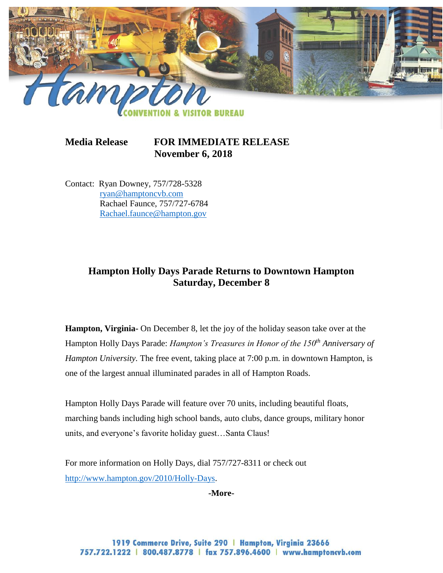

**Media Release FOR IMMEDIATE RELEASE November 6, 2018**

Contact: Ryan Downey, 757/728-5328 [ryan@hamptoncvb.com](mailto:ryan@hamptoncvb.com) Rachael Faunce, 757/727-6784 [Rachael.faunce@hampton.gov](mailto:Rachael.faunce@hampton.gov)

## **Hampton Holly Days Parade Returns to Downtown Hampton Saturday, December 8**

**Hampton, Virginia-** On December 8, let the joy of the holiday season take over at the Hampton Holly Days Parade: *Hampton's Treasures in Honor of the 150th Anniversary of Hampton University.* The free event, taking place at 7:00 p.m. in downtown Hampton, is one of the largest annual illuminated parades in all of Hampton Roads.

Hampton Holly Days Parade will feature over 70 units, including beautiful floats, marching bands including high school bands, auto clubs, dance groups, military honor units, and everyone's favorite holiday guest…Santa Claus!

For more information on Holly Days*,* dial 757/727-8311 or check out [http://www.hampton.gov/2010/Holly-Days.](http://www.hampton.gov/2010/Holly-Days)

**-More-**

1919 Commerce Drive, Suite 290 | Hampton, Virginia 23666 757.722.1222 | 800.487.8778 | fax 757.896.4600 | www.hamptoncvb.com